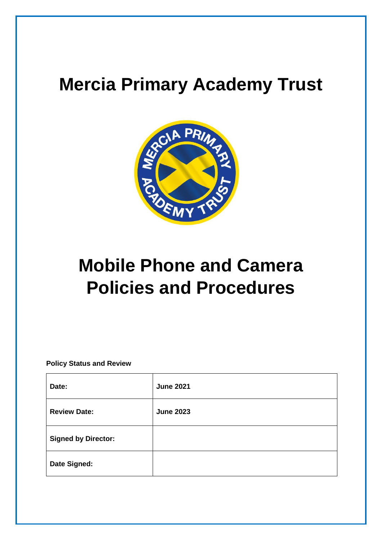## **Mercia Primary Academy Trust**



# **Mobile Phone and Camera Policies and Procedures**

**Policy Status and Review**

| Date:                      | <b>June 2021</b> |
|----------------------------|------------------|
| <b>Review Date:</b>        | <b>June 2023</b> |
| <b>Signed by Director:</b> |                  |
| Date Signed:               |                  |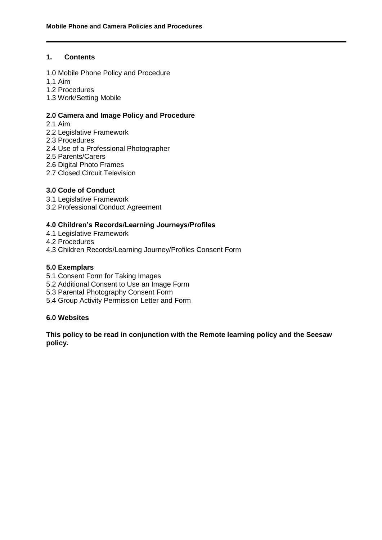#### **1. Contents**

- 1.0 Mobile Phone Policy and Procedure
- 1.1 Aim
- 1.2 Procedures
- 1.3 Work/Setting Mobile

#### **2.0 Camera and Image Policy and Procedure**

- 2.1 Aim
- 2.2 Legislative Framework
- 2.3 Procedures
- 2.4 Use of a Professional Photographer
- 2.5 Parents/Carers
- 2.6 Digital Photo Frames
- 2.7 Closed Circuit Television

## **3.0 Code of Conduct**

- 3.1 Legislative Framework
- 3.2 Professional Conduct Agreement

## **4.0 Children's Records/Learning Journeys/Profiles**

- 4.1 Legislative Framework
- 4.2 Procedures
- 4.3 Children Records/Learning Journey/Profiles Consent Form

## **5.0 Exemplars**

- 5.1 Consent Form for Taking Images
- 5.2 Additional Consent to Use an Image Form
- 5.3 Parental Photography Consent Form
- 5.4 Group Activity Permission Letter and Form

## **6.0 Websites**

**This policy to be read in conjunction with the Remote learning policy and the Seesaw policy.**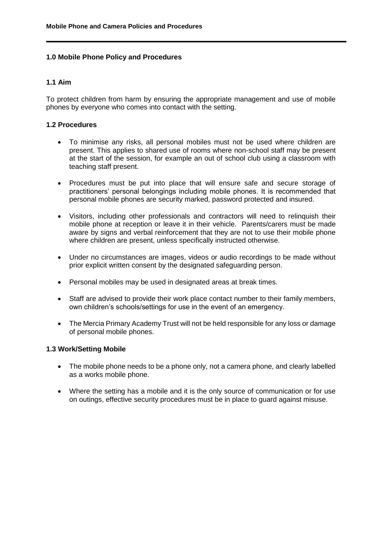## **1.0 Mobile Phone Policy and Procedures**

#### **1.1 Aim**

To protect children from harm by ensuring the appropriate management and use of mobile phones by everyone who comes into contact with the setting.

#### **1.2 Procedures**

- To minimise any risks, all personal mobiles must not be used where children are present. This applies to shared use of rooms where non-school staff may be present at the start of the session, for example an out of school club using a classroom with teaching staff present.
- Procedures must be put into place that will ensure safe and secure storage of practitioners' personal belongings including mobile phones. It is recommended that personal mobile phones are security marked, password protected and insured.
- Visitors, including other professionals and contractors will need to relinquish their mobile phone at reception or leave it in their vehicle. Parents/carers must be made aware by signs and verbal reinforcement that they are not to use their mobile phone where children are present, unless specifically instructed otherwise.
- Under no circumstances are images, videos or audio recordings to be made without prior explicit written consent by the designated safeguarding person.
- Personal mobiles may be used in designated areas at break times.
- Staff are advised to provide their work place contact number to their family members, own children's schools/settings for use in the event of an emergency.
- The Mercia Primary Academy Trust will not be held responsible for any loss or damage of personal mobile phones.

#### **1.3 Work/Setting Mobile**

- The mobile phone needs to be a phone only, not a camera phone, and clearly labelled as a works mobile phone.
- Where the setting has a mobile and it is the only source of communication or for use on outings, effective security procedures must be in place to guard against misuse.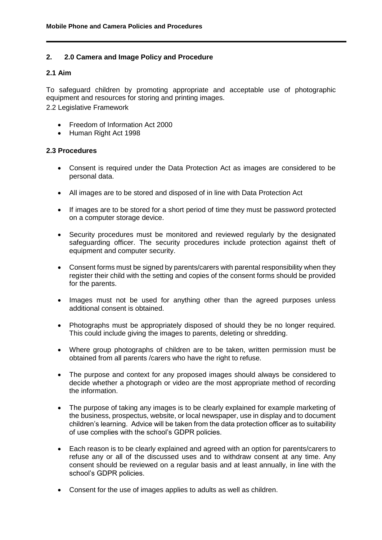## **2. 2.0 Camera and Image Policy and Procedure**

#### **2.1 Aim**

To safeguard children by promoting appropriate and acceptable use of photographic equipment and resources for storing and printing images. 2.2 Legislative Framework

- Freedom of Information Act 2000
- Human Right Act 1998

## **2.3 Procedures**

- Consent is required under the Data Protection Act as images are considered to be personal data.
- All images are to be stored and disposed of in line with Data Protection Act
- If images are to be stored for a short period of time they must be password protected on a computer storage device.
- Security procedures must be monitored and reviewed regularly by the designated safeguarding officer. The security procedures include protection against theft of equipment and computer security.
- Consent forms must be signed by parents/carers with parental responsibility when they register their child with the setting and copies of the consent forms should be provided for the parents.
- Images must not be used for anything other than the agreed purposes unless additional consent is obtained.
- Photographs must be appropriately disposed of should they be no longer required. This could include giving the images to parents, deleting or shredding.
- Where group photographs of children are to be taken, written permission must be obtained from all parents /carers who have the right to refuse.
- The purpose and context for any proposed images should always be considered to decide whether a photograph or video are the most appropriate method of recording the information.
- The purpose of taking any images is to be clearly explained for example marketing of the business, prospectus, website, or local newspaper, use in display and to document children's learning. Advice will be taken from the data protection officer as to suitability of use complies with the school's GDPR policies.
- Each reason is to be clearly explained and agreed with an option for parents/carers to refuse any or all of the discussed uses and to withdraw consent at any time. Any consent should be reviewed on a regular basis and at least annually, in line with the school's GDPR policies.
- Consent for the use of images applies to adults as well as children.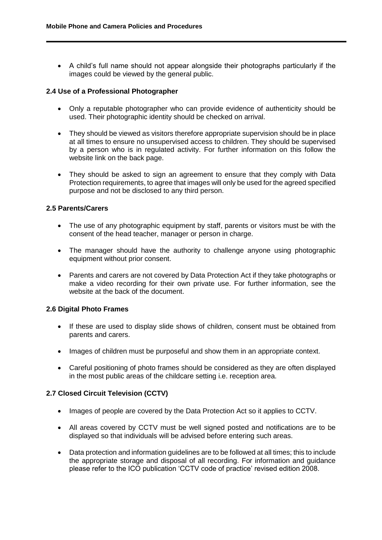A child's full name should not appear alongside their photographs particularly if the images could be viewed by the general public.

## **2.4 Use of a Professional Photographer**

- Only a reputable photographer who can provide evidence of authenticity should be used. Their photographic identity should be checked on arrival.
- They should be viewed as visitors therefore appropriate supervision should be in place at all times to ensure no unsupervised access to children. They should be supervised by a person who is in regulated activity. For further information on this follow the website link on the back page.
- They should be asked to sign an agreement to ensure that they comply with Data Protection requirements, to agree that images will only be used for the agreed specified purpose and not be disclosed to any third person.

#### **2.5 Parents/Carers**

- The use of any photographic equipment by staff, parents or visitors must be with the consent of the head teacher, manager or person in charge.
- The manager should have the authority to challenge anyone using photographic equipment without prior consent.
- Parents and carers are not covered by Data Protection Act if they take photographs or make a video recording for their own private use. For further information, see the website at the back of the document.

## **2.6 Digital Photo Frames**

- If these are used to display slide shows of children, consent must be obtained from parents and carers.
- Images of children must be purposeful and show them in an appropriate context.
- Careful positioning of photo frames should be considered as they are often displayed in the most public areas of the childcare setting i.e. reception area.

## **2.7 Closed Circuit Television (CCTV)**

- Images of people are covered by the Data Protection Act so it applies to CCTV.
- All areas covered by CCTV must be well signed posted and notifications are to be displayed so that individuals will be advised before entering such areas.
- Data protection and information guidelines are to be followed at all times; this to include the appropriate storage and disposal of all recording. For information and guidance please refer to the ICO publication 'CCTV code of practice' revised edition 2008.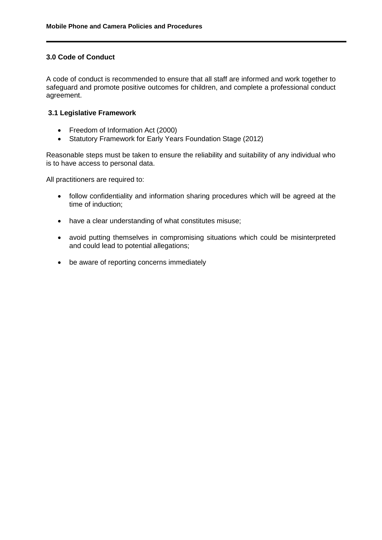## **3.0 Code of Conduct**

A code of conduct is recommended to ensure that all staff are informed and work together to safeguard and promote positive outcomes for children, and complete a professional conduct agreement.

#### **3.1 Legislative Framework**

- Freedom of Information Act (2000)
- Statutory Framework for Early Years Foundation Stage (2012)

Reasonable steps must be taken to ensure the reliability and suitability of any individual who is to have access to personal data.

All practitioners are required to:

- follow confidentiality and information sharing procedures which will be agreed at the time of induction;
- have a clear understanding of what constitutes misuse;
- avoid putting themselves in compromising situations which could be misinterpreted and could lead to potential allegations;
- be aware of reporting concerns immediately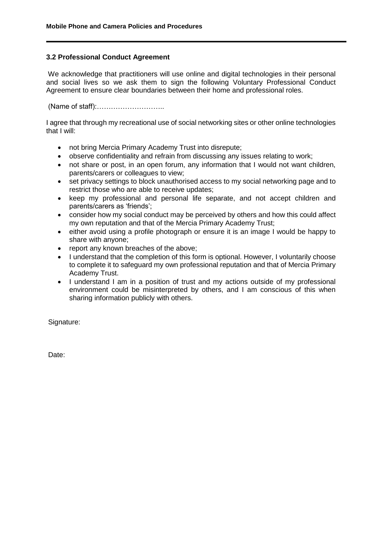## **3.2 Professional Conduct Agreement**

We acknowledge that practitioners will use online and digital technologies in their personal and social lives so we ask them to sign the following Voluntary Professional Conduct Agreement to ensure clear boundaries between their home and professional roles.

(Name of staff):………………………..

I agree that through my recreational use of social networking sites or other online technologies that I will:

- not bring Mercia Primary Academy Trust into disrepute;
- observe confidentiality and refrain from discussing any issues relating to work;
- not share or post, in an open forum, any information that I would not want children, parents/carers or colleagues to view;
- set privacy settings to block unauthorised access to my social networking page and to restrict those who are able to receive updates;
- keep my professional and personal life separate, and not accept children and parents/carers as 'friends';
- consider how my social conduct may be perceived by others and how this could affect my own reputation and that of the Mercia Primary Academy Trust;
- either avoid using a profile photograph or ensure it is an image I would be happy to share with anyone;
- report any known breaches of the above;
- I understand that the completion of this form is optional. However, I voluntarily choose to complete it to safeguard my own professional reputation and that of Mercia Primary Academy Trust.
- I understand I am in a position of trust and my actions outside of my professional environment could be misinterpreted by others, and I am conscious of this when sharing information publicly with others.

Signature:

Date: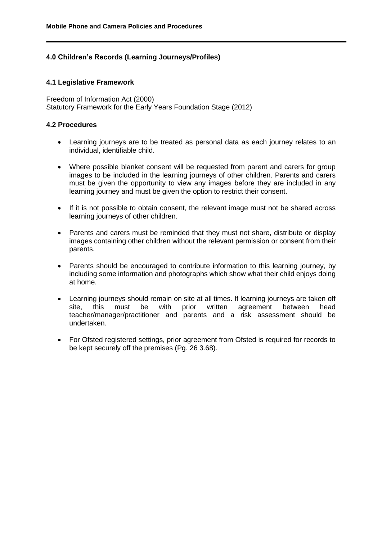## **4.0 Children's Records (Learning Journeys/Profiles)**

#### **4.1 Legislative Framework**

Freedom of Information Act (2000) Statutory Framework for the Early Years Foundation Stage (2012)

## **4.2 Procedures**

- Learning journeys are to be treated as personal data as each journey relates to an individual, identifiable child.
- Where possible blanket consent will be requested from parent and carers for group images to be included in the learning journeys of other children. Parents and carers must be given the opportunity to view any images before they are included in any learning journey and must be given the option to restrict their consent.
- If it is not possible to obtain consent, the relevant image must not be shared across learning journeys of other children.
- Parents and carers must be reminded that they must not share, distribute or display images containing other children without the relevant permission or consent from their parents.
- Parents should be encouraged to contribute information to this learning journey, by including some information and photographs which show what their child enjoys doing at home.
- Learning journeys should remain on site at all times. If learning journeys are taken off site, this must be with prior written agreement between head teacher/manager/practitioner and parents and a risk assessment should be undertaken.
- For Ofsted registered settings, prior agreement from Ofsted is required for records to be kept securely off the premises (Pg. 26 3.68).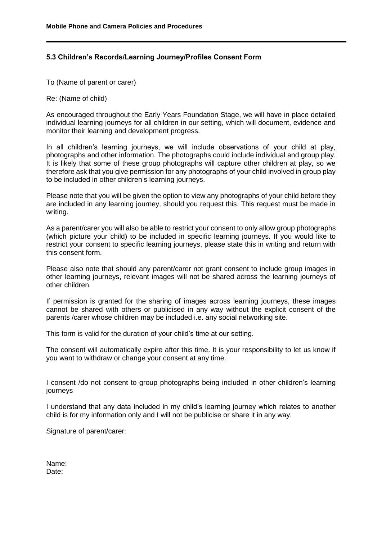#### **5.3 Children's Records/Learning Journey/Profiles Consent Form**

To (Name of parent or carer)

Re: (Name of child)

As encouraged throughout the Early Years Foundation Stage, we will have in place detailed individual learning journeys for all children in our setting, which will document, evidence and monitor their learning and development progress.

In all children's learning journeys, we will include observations of your child at play, photographs and other information. The photographs could include individual and group play. It is likely that some of these group photographs will capture other children at play, so we therefore ask that you give permission for any photographs of your child involved in group play to be included in other children's learning journeys.

Please note that you will be given the option to view any photographs of your child before they are included in any learning journey, should you request this. This request must be made in writing.

As a parent/carer you will also be able to restrict your consent to only allow group photographs (which picture your child) to be included in specific learning journeys. If you would like to restrict your consent to specific learning journeys, please state this in writing and return with this consent form.

Please also note that should any parent/carer not grant consent to include group images in other learning journeys, relevant images will not be shared across the learning journeys of other children.

If permission is granted for the sharing of images across learning journeys, these images cannot be shared with others or publicised in any way without the explicit consent of the parents /carer whose children may be included i.e. any social networking site.

This form is valid for the duration of your child's time at our setting.

The consent will automatically expire after this time. It is your responsibility to let us know if you want to withdraw or change your consent at any time.

I consent /do not consent to group photographs being included in other children's learning journeys

I understand that any data included in my child's learning journey which relates to another child is for my information only and I will not be publicise or share it in any way.

Signature of parent/carer:

| Name: |  |
|-------|--|
| Date: |  |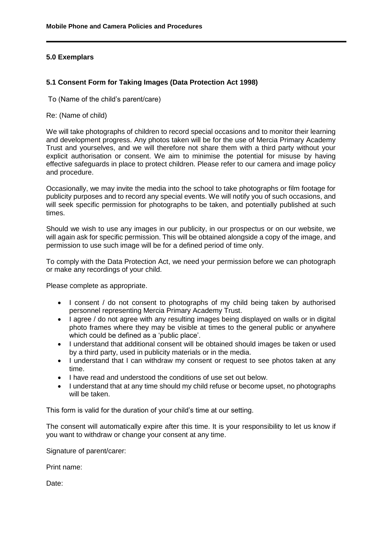## **5.0 Exemplars**

## **5.1 Consent Form for Taking Images (Data Protection Act 1998)**

To (Name of the child's parent/care)

Re: (Name of child)

We will take photographs of children to record special occasions and to monitor their learning and development progress. Any photos taken will be for the use of Mercia Primary Academy Trust and yourselves, and we will therefore not share them with a third party without your explicit authorisation or consent. We aim to minimise the potential for misuse by having effective safeguards in place to protect children. Please refer to our camera and image policy and procedure.

Occasionally, we may invite the media into the school to take photographs or film footage for publicity purposes and to record any special events. We will notify you of such occasions, and will seek specific permission for photographs to be taken, and potentially published at such times.

Should we wish to use any images in our publicity, in our prospectus or on our website, we will again ask for specific permission. This will be obtained alongside a copy of the image, and permission to use such image will be for a defined period of time only.

To comply with the Data Protection Act, we need your permission before we can photograph or make any recordings of your child.

Please complete as appropriate.

- I consent / do not consent to photographs of my child being taken by authorised personnel representing Mercia Primary Academy Trust.
- I agree / do not agree with any resulting images being displayed on walls or in digital photo frames where they may be visible at times to the general public or anywhere which could be defined as a 'public place'.
- I understand that additional consent will be obtained should images be taken or used by a third party, used in publicity materials or in the media.
- I understand that I can withdraw my consent or request to see photos taken at any time.
- I have read and understood the conditions of use set out below.
- I understand that at any time should my child refuse or become upset, no photographs will be taken.

This form is valid for the duration of your child's time at our setting.

The consent will automatically expire after this time. It is your responsibility to let us know if you want to withdraw or change your consent at any time.

Signature of parent/carer:

Print name:

Date: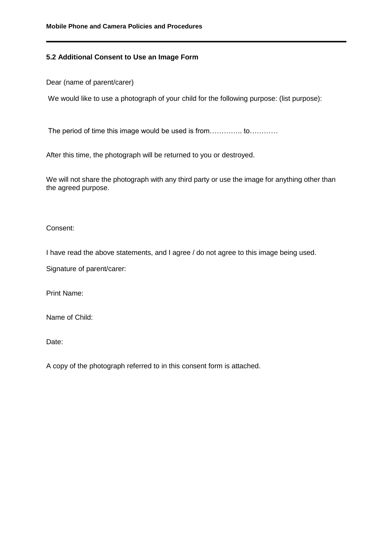## **5.2 Additional Consent to Use an Image Form**

Dear (name of parent/carer)

We would like to use a photograph of your child for the following purpose: (list purpose):

The period of time this image would be used is from..............................

After this time, the photograph will be returned to you or destroyed.

We will not share the photograph with any third party or use the image for anything other than the agreed purpose.

Consent:

I have read the above statements, and I agree / do not agree to this image being used.

Signature of parent/carer:

Print Name:

Name of Child:

Date:

A copy of the photograph referred to in this consent form is attached.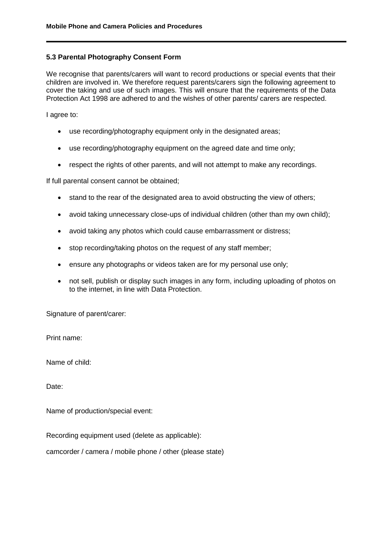## **5.3 Parental Photography Consent Form**

We recognise that parents/carers will want to record productions or special events that their children are involved in. We therefore request parents/carers sign the following agreement to cover the taking and use of such images. This will ensure that the requirements of the Data Protection Act 1998 are adhered to and the wishes of other parents/ carers are respected.

I agree to:

- use recording/photography equipment only in the designated areas;
- use recording/photography equipment on the agreed date and time only;
- respect the rights of other parents, and will not attempt to make any recordings.

If full parental consent cannot be obtained;

- stand to the rear of the designated area to avoid obstructing the view of others;
- avoid taking unnecessary close-ups of individual children (other than my own child);
- avoid taking any photos which could cause embarrassment or distress;
- stop recording/taking photos on the request of any staff member;
- ensure any photographs or videos taken are for my personal use only;
- not sell, publish or display such images in any form, including uploading of photos on to the internet, in line with Data Protection.

Signature of parent/carer:

Print name:

Name of child:

Date:

Name of production/special event:

Recording equipment used (delete as applicable):

camcorder / camera / mobile phone / other (please state)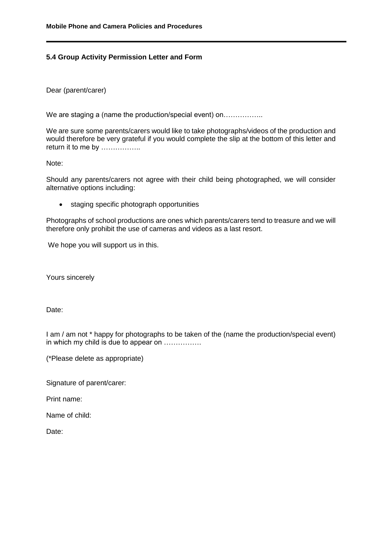#### **5.4 Group Activity Permission Letter and Form**

Dear (parent/carer)

We are staging a (name the production/special event) on……………

We are sure some parents/carers would like to take photographs/videos of the production and would therefore be very grateful if you would complete the slip at the bottom of this letter and return it to me by …………….

Note:

Should any parents/carers not agree with their child being photographed, we will consider alternative options including:

• staging specific photograph opportunities

Photographs of school productions are ones which parents/carers tend to treasure and we will therefore only prohibit the use of cameras and videos as a last resort.

We hope you will support us in this.

Yours sincerely

Date:

I am / am not \* happy for photographs to be taken of the (name the production/special event) in which my child is due to appear on …………….

(\*Please delete as appropriate)

Signature of parent/carer:

Print name:

Name of child:

Date: